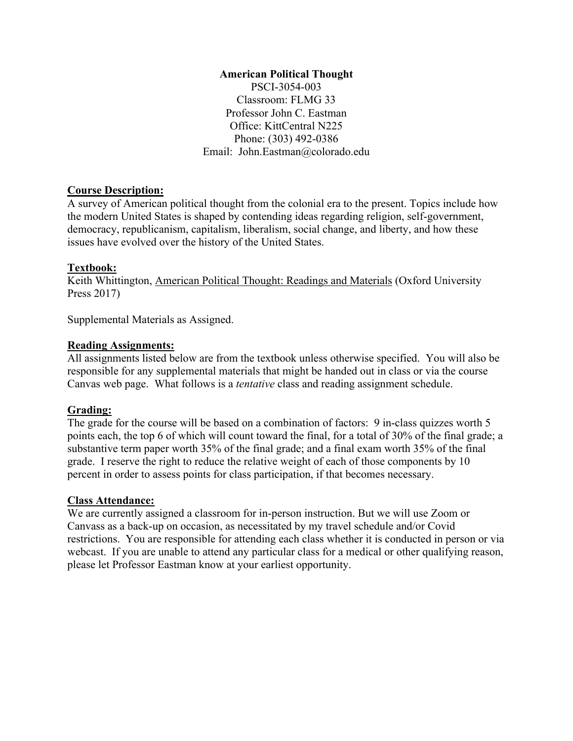#### **American Political Thought**

PSCI-3054-003 Classroom: FLMG 33 Professor John C. Eastman Office: KittCentral N225 Phone: (303) 492-0386 Email: John.Eastman@colorado.edu

#### **Course Description:**

A survey of American political thought from the colonial era to the present. Topics include how the modern United States is shaped by contending ideas regarding religion, self-government, democracy, republicanism, capitalism, liberalism, social change, and liberty, and how these issues have evolved over the history of the United States.

#### **Textbook:**

Keith Whittington, American Political Thought: Readings and Materials (Oxford University Press 2017)

Supplemental Materials as Assigned.

### **Reading Assignments:**

All assignments listed below are from the textbook unless otherwise specified. You will also be responsible for any supplemental materials that might be handed out in class or via the course Canvas web page. What follows is a *tentative* class and reading assignment schedule.

### **Grading:**

The grade for the course will be based on a combination of factors: 9 in-class quizzes worth 5 points each, the top 6 of which will count toward the final, for a total of 30% of the final grade; a substantive term paper worth 35% of the final grade; and a final exam worth 35% of the final grade. I reserve the right to reduce the relative weight of each of those components by 10 percent in order to assess points for class participation, if that becomes necessary.

#### **Class Attendance:**

We are currently assigned a classroom for in-person instruction. But we will use Zoom or Canvass as a back-up on occasion, as necessitated by my travel schedule and/or Covid restrictions. You are responsible for attending each class whether it is conducted in person or via webcast. If you are unable to attend any particular class for a medical or other qualifying reason, please let Professor Eastman know at your earliest opportunity.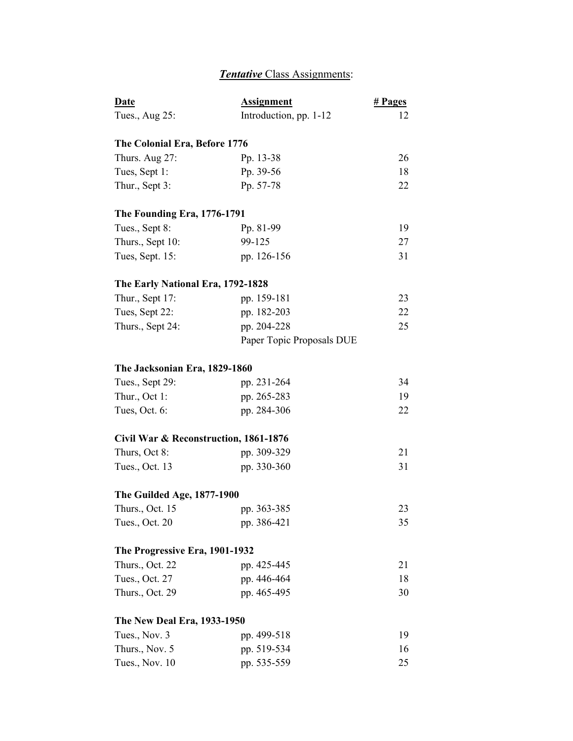# *Tentative* Class Assignments:

| <u>Date</u>                           | <b>Assignment</b>         | # <b>Pages</b> |
|---------------------------------------|---------------------------|----------------|
| Tues., Aug 25:                        | Introduction, pp. 1-12    | 12             |
| The Colonial Era, Before 1776         |                           |                |
| Thurs. Aug 27:                        | Pp. 13-38                 | 26             |
| Tues, Sept 1:                         | Pp. 39-56                 | 18             |
| Thur., Sept 3:                        | Pp. 57-78                 | 22             |
| The Founding Era, 1776-1791           |                           |                |
| Tues., Sept 8:                        | Pp. 81-99                 | 19             |
| Thurs., Sept 10:                      | 99-125                    | 27             |
| Tues, Sept. 15:                       | pp. 126-156               | 31             |
| The Early National Era, 1792-1828     |                           |                |
| Thur., Sept 17:                       | pp. 159-181               | 23             |
| Tues, Sept 22:                        | pp. 182-203               | 22             |
| Thurs., Sept 24:                      | pp. 204-228               | 25             |
|                                       | Paper Topic Proposals DUE |                |
| The Jacksonian Era, 1829-1860         |                           |                |
| Tues., Sept 29:                       | pp. 231-264               | 34             |
| Thur., Oct 1:                         | pp. 265-283               | 19             |
| Tues, Oct. 6:                         | pp. 284-306               | 22             |
| Civil War & Reconstruction, 1861-1876 |                           |                |
| Thurs, Oct 8:                         | pp. 309-329               | 21             |
| Tues., Oct. 13                        | pp. 330-360               | 31             |
| <b>The Guilded Age, 1877-1900</b>     |                           |                |
| Thurs., Oct. 15                       | pp. 363-385               | 23             |
| Tues., Oct. 20                        | pp. 386-421               | 35             |
| The Progressive Era, 1901-1932        |                           |                |
| Thurs., Oct. 22                       | pp. 425-445               | 21             |
| Tues., Oct. 27                        | pp. 446-464               | 18             |
| Thurs., Oct. 29                       | pp. 465-495               | 30             |
| The New Deal Era, 1933-1950           |                           |                |
| Tues., Nov. 3                         | pp. 499-518               | 19             |
| Thurs., Nov. 5                        | pp. 519-534               | 16             |
| Tues., Nov. 10                        | pp. 535-559               | 25             |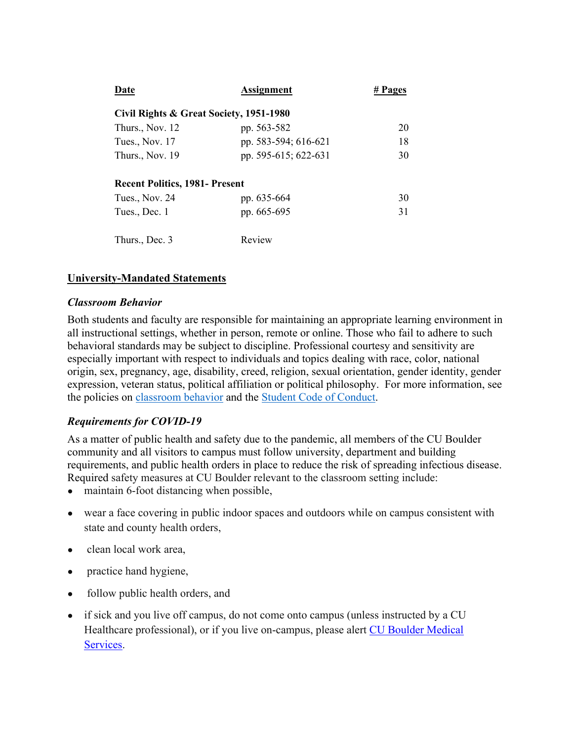| Date                                    | <b>Assignment</b>    | # Pages |
|-----------------------------------------|----------------------|---------|
| Civil Rights & Great Society, 1951-1980 |                      |         |
| Thurs., Nov. 12                         | pp. 563-582          | 20      |
| Tues., Nov. 17                          | pp. 583-594; 616-621 | 18      |
| Thurs., Nov. 19                         | pp. 595-615; 622-631 | 30      |
| <b>Recent Politics, 1981- Present</b>   |                      |         |
| Tues., Nov. 24                          | pp. 635-664          | 30      |
| Tues., Dec. 1                           | pp. 665-695          | 31      |
| Thurs., Dec. 3                          | Review               |         |

# **University-Mandated Statements**

#### *Classroom Behavior*

Both students and faculty are responsible for maintaining an appropriate learning environment in all instructional settings, whether in person, remote or online. Those who fail to adhere to such behavioral standards may be subject to discipline. Professional courtesy and sensitivity are especially important with respect to individuals and topics dealing with race, color, national origin, sex, pregnancy, age, disability, creed, religion, sexual orientation, gender identity, gender expression, veteran status, political affiliation or political philosophy. For more information, see the policies on [classroom behavior](http://www.colorado.edu/policies/student-classroom-and-course-related-behavior) and the [Student Code of Conduct.](https://www.colorado.edu/sccr/sites/default/files/attached-files/2019-2020_student_code_of_conduct_0.pdf)

### *Requirements for COVID-19*

As a matter of public health and safety due to the pandemic, all members of the CU Boulder community and all visitors to campus must follow university, department and building requirements, and public health orders in place to reduce the risk of spreading infectious disease. Required safety measures at CU Boulder relevant to the classroom setting include:

- maintain 6-foot distancing when possible,
- wear a face covering in public indoor spaces and outdoors while on campus consistent with state and county health orders,
- clean local work area,
- practice hand hygiene,
- follow public health orders, and
- if sick and you live off campus, do not come onto campus (unless instructed by a CU Healthcare professional), or if you live on-campus, please alert [CU Boulder Medical](https://www.colorado.edu/healthcenter/coronavirus-updates/symptoms-and-what-do-if-you-feel-sick)  [Services.](https://www.colorado.edu/healthcenter/coronavirus-updates/symptoms-and-what-do-if-you-feel-sick)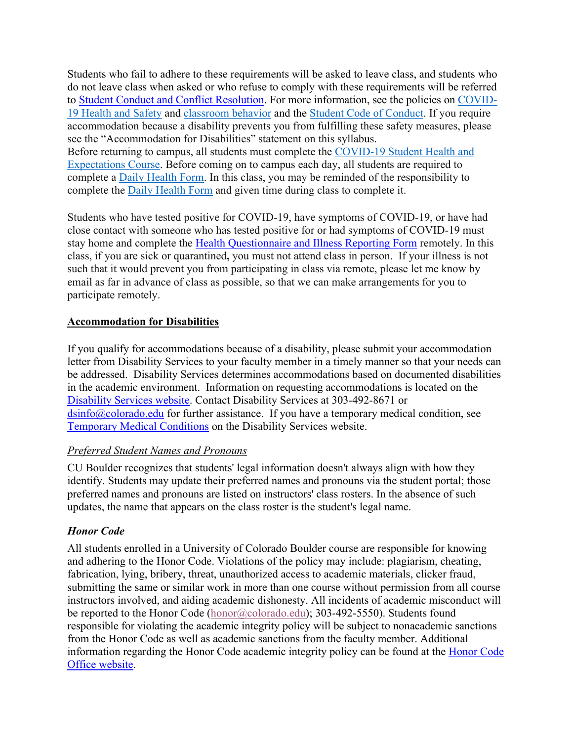Students who fail to adhere to these requirements will be asked to leave class, and students who do not leave class when asked or who refuse to comply with these requirements will be referred to [Student Conduct and Conflict Resolution.](https://www.colorado.edu/sccr/) For more information, see the policies on [COVID-](https://www.colorado.edu/policies/covid-19-health-and-safety-policy)[19 Health and Safety](https://www.colorado.edu/policies/covid-19-health-and-safety-policy) and [classroom behavior](http://www.colorado.edu/policies/student-classroom-and-course-related-behavior) and the [Student Code of Conduct.](http://www.colorado.edu/osccr/) If you require accommodation because a disability prevents you from fulfilling these safety measures, please see the "Accommodation for Disabilities" statement on this syllabus. Before returning to campus, all students must complete the [COVID-19 Student Health and](https://www.colorado.edu/protect-our-herd/how#anchor1)  [Expectations Course.](https://www.colorado.edu/protect-our-herd/how#anchor1) Before coming on to campus each day, all students are required to complete a [Daily Health Form.](https://www.colorado.edu/protect-our-herd/daily-health-form) In this class, you may be reminded of the responsibility to complete the [Daily Health Form](https://www.colorado.edu/protect-our-herd/daily-health-form) and given time during class to complete it.

Students who have tested positive for COVID-19, have symptoms of COVID-19, or have had close contact with someone who has tested positive for or had symptoms of COVID-19 must stay home and complete the [Health Questionnaire and Illness Reporting Form](https://www.colorado.edu/protect-our-herd/daily-health-form) remotely. In this class, if you are sick or quarantined**,** you must not attend class in person. If your illness is not such that it would prevent you from participating in class via remote, please let me know by email as far in advance of class as possible, so that we can make arrangements for you to participate remotely.

# **Accommodation for Disabilities**

If you qualify for accommodations because of a disability, please submit your accommodation letter from Disability Services to your faculty member in a timely manner so that your needs can be addressed. Disability Services determines accommodations based on documented disabilities in the academic environment. Information on requesting accommodations is located on the [Disability Services website.](https://www.colorado.edu/disabilityservices/) Contact Disability Services at 303-492-8671 or  $\sin 6$  ( $\alpha$ ) colorado.edu for further assistance. If you have a temporary medical condition, see [Temporary Medical Conditions](http://www.colorado.edu/disabilityservices/students/temporary-medical-conditions) on the Disability Services website.

### *Preferred Student Names and Pronouns*

CU Boulder recognizes that students' legal information doesn't always align with how they identify. Students may update their preferred names and pronouns via the student portal; those preferred names and pronouns are listed on instructors' class rosters. In the absence of such updates, the name that appears on the class roster is the student's legal name.

# *Honor Code*

All students enrolled in a University of Colorado Boulder course are responsible for knowing and adhering to the Honor Code. Violations of the policy may include: plagiarism, cheating, fabrication, lying, bribery, threat, unauthorized access to academic materials, clicker fraud, submitting the same or similar work in more than one course without permission from all course instructors involved, and aiding academic dishonesty. All incidents of academic misconduct will be reported to the Honor Code [\(honor@colorado.edu\)](mailto:honor@colorado.edu); 303-492-5550). Students found responsible for violating the academic integrity policy will be subject to nonacademic sanctions from the Honor Code as well as academic sanctions from the faculty member. Additional information regarding the Honor Code academic integrity policy can be found at the [Honor Code](https://www.colorado.edu/osccr/honor-code)  [Office website.](https://www.colorado.edu/osccr/honor-code)